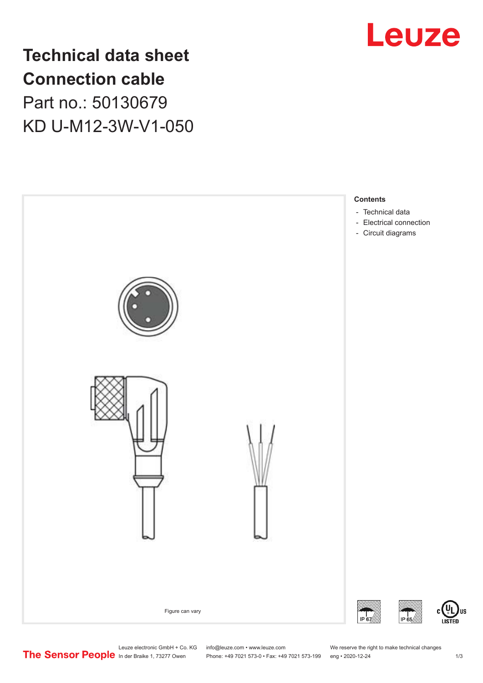

## **Technical data sheet Connection cable** Part no.: 50130679 KD U-M12-3W-V1-050



Leuze electronic GmbH + Co. KG info@leuze.com • www.leuze.com We reserve the right to make technical changes<br>
The Sensor People in der Braike 1, 73277 Owen Phone: +49 7021 573-0 • Fax: +49 7021 573-199 eng • 2020-12-24

Phone: +49 7021 573-0 • Fax: +49 7021 573-199 eng • 2020-12-24 1 2020-12-24

US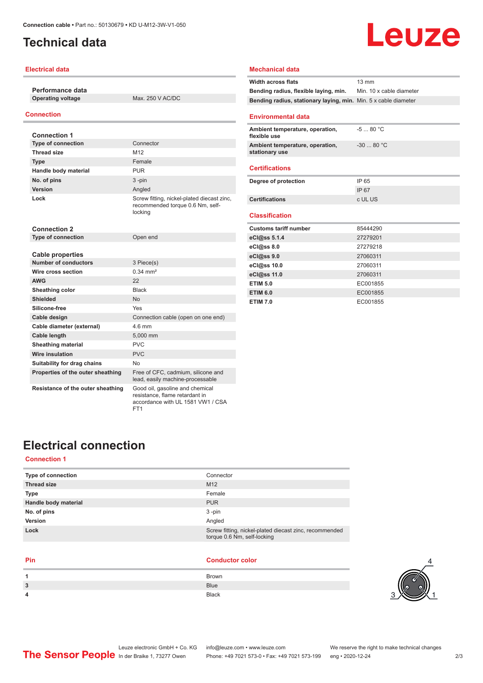## <span id="page-1-0"></span>**Technical data**

#### **Electrical data**

**Performance data**

**Operating voltage** Max. 250 V AC/DC

#### **Connection**

| <b>Connection 1</b>                                    |                                                                                                        |
|--------------------------------------------------------|--------------------------------------------------------------------------------------------------------|
| <b>Type of connection</b>                              | Connector                                                                                              |
| <b>Thread size</b>                                     | M <sub>12</sub>                                                                                        |
| <b>Type</b>                                            | Female                                                                                                 |
| Handle body material                                   | <b>PUR</b>                                                                                             |
| No. of pins                                            | $3 - pin$                                                                                              |
| Version                                                | Angled                                                                                                 |
| Lock                                                   | Screw fitting, nickel-plated diecast zinc,<br>recommended torque 0.6 Nm, self-<br>locking              |
| Connection 2                                           |                                                                                                        |
| <b>Type of connection</b>                              | Open end                                                                                               |
|                                                        |                                                                                                        |
| <b>Cable properties</b><br><b>Number of conductors</b> |                                                                                                        |
| Wire cross section                                     | 3 Piece(s)<br>$0.34 \, \text{mm}^2$                                                                    |
| <b>AWG</b>                                             | 22                                                                                                     |
|                                                        |                                                                                                        |
| Sheathing color                                        | <b>Black</b>                                                                                           |
| <b>Shielded</b>                                        | <b>No</b>                                                                                              |
| Silicone-free                                          | Yes                                                                                                    |
| Cable design                                           | Connection cable (open on one end)                                                                     |
| Cable diameter (external)                              | 4 6 mm                                                                                                 |
| Cable length                                           | 5,000 mm                                                                                               |
| <b>Sheathing material</b>                              | PVC                                                                                                    |
| <b>Wire insulation</b>                                 | <b>PVC</b>                                                                                             |
| Suitability for drag chains                            | N <sub>o</sub>                                                                                         |
| Properties of the outer sheathing                      | Free of CFC, cadmium, silicone and<br>lead, easily machine-processable                                 |
| Resistance of the outer sheathing                      | Good oil, gasoline and chemical<br>resistance, flame retardant in<br>accordance with UL 1581 VW1 / CSA |

FT1

# Leuze **Width across flats** 13 mm

## **Mechanical data**

| <b>Bending radius, flexible laying, min.</b> Min. 10 x cable diameter |             |
|-----------------------------------------------------------------------|-------------|
| Bending radius, stationary laying, min. Min. 5 x cable diameter       |             |
|                                                                       |             |
| <b>Environmental data</b>                                             |             |
| Ambient temperature, operation,<br>flexible use                       | $-580 °C$   |
| Ambient temperature, operation,<br>stationary use                     | $-3080 °C$  |
| <b>Certifications</b>                                                 |             |
| Degree of protection                                                  | IP 65       |
|                                                                       | <b>IP67</b> |
| <b>Certifications</b>                                                 | c UL US     |
|                                                                       |             |
| <b>Classification</b>                                                 |             |
| <b>Customs tariff number</b>                                          | 85444290    |
| eCl@ss 5.1.4                                                          | 27279201    |
| eCl@ss 8.0                                                            | 27279218    |
| eCl@ss 9.0                                                            |             |
|                                                                       | 27060311    |
| eCl@ss 10.0                                                           | 27060311    |
| eCl@ss 11.0                                                           | 27060311    |
| <b>ETIM 5.0</b>                                                       | EC001855    |
| <b>ETIM 6.0</b>                                                       | EC001855    |

## **Electrical connection**

#### **Connection 1**

| Type of connection   | Connector                                                                             |
|----------------------|---------------------------------------------------------------------------------------|
| <b>Thread size</b>   | M <sub>12</sub>                                                                       |
| <b>Type</b>          | Female                                                                                |
| Handle body material | <b>PUR</b>                                                                            |
| No. of pins          | $3 - pin$                                                                             |
| Version              | Angled                                                                                |
| Lock                 | Screw fitting, nickel-plated diecast zinc, recommended<br>torque 0.6 Nm, self-locking |
|                      |                                                                                       |

j.

#### **Pin Conductor color**

| 1 | Brown        |
|---|--------------|
| 3 | <b>Blue</b>  |
| 4 | <b>Black</b> |